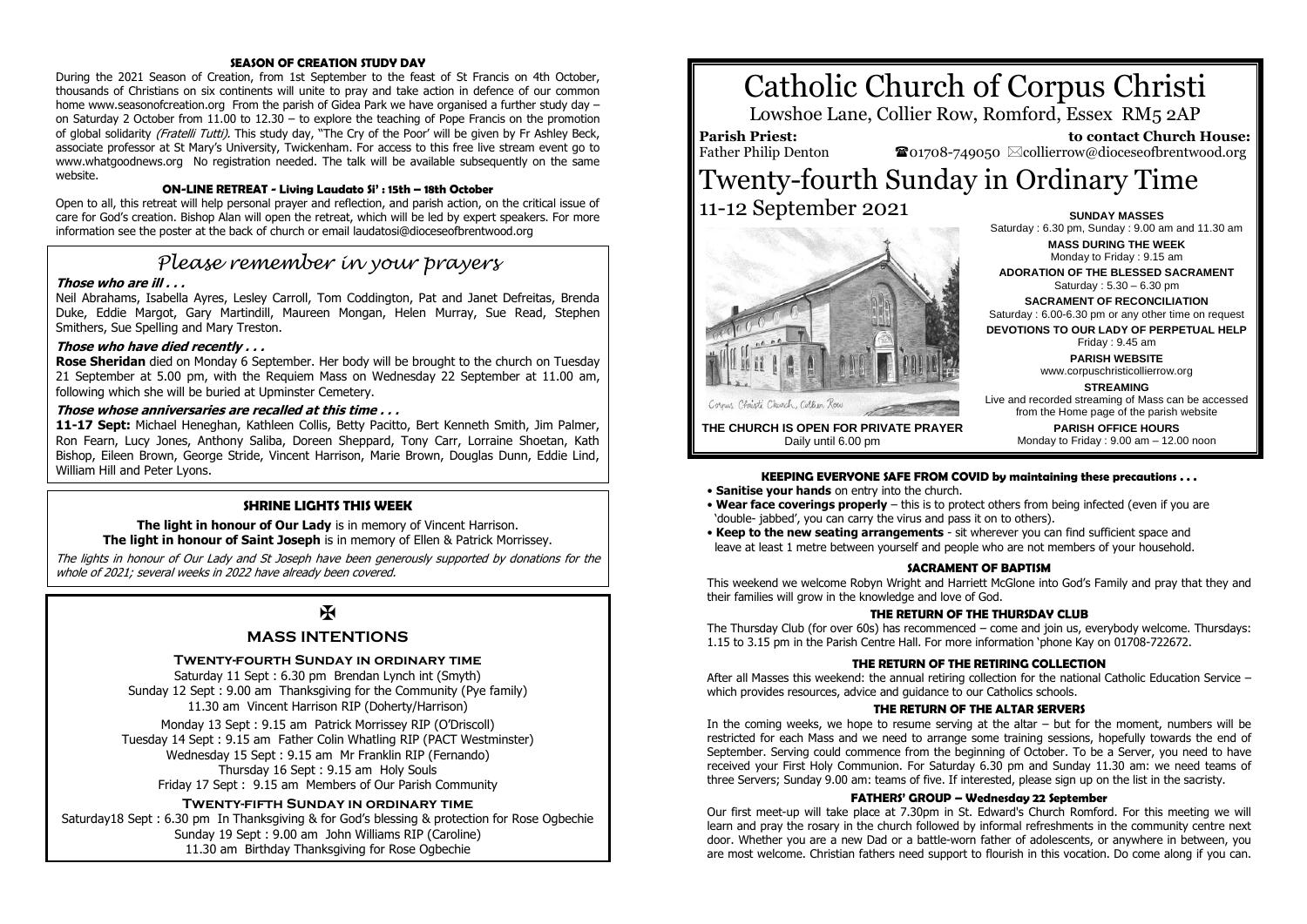### **SEASON OF CREATION STUDY DAY**

During the 2021 Season of Creation, from 1st September to the feast of St Francis on 4th October, thousands of Christians on six continents will unite to pray and take action in defence of our common home www.seasonofcreation.org From the parish of Gidea Park we have organised a further study day – on Saturday 2 October from 11.00 to 12.30 – to explore the teaching of Pope Francis on the promotion of global solidarity (Fratelli Tutti). This study day, "The Cry of the Poor' will be given by Fr Ashley Beck, associate professor at St Mary's University, Twickenham. For access to this free live stream event go to www.whatgoodnews.org No registration needed. The talk will be available subsequently on the same website.

#### **ON-LINE RETREAT - Living Laudato Si' : 15th – 18th October**

Open to all, this retreat will help personal prayer and reflection, and parish action, on the critical issue of care for God's creation. Bishop Alan will open the retreat, which will be led by expert speakers. For more information see the poster at the back of church or email laudatosi@dioceseofbrentwood.org

# *Please remember in your prayers*

#### **Those who are ill . . .**

Neil Abrahams, Isabella Ayres, Lesley Carroll, Tom Coddington, Pat and Janet Defreitas, Brenda Duke, Eddie Margot, Gary Martindill, Maureen Mongan, Helen Murray, Sue Read, Stephen Smithers, Sue Spelling and Mary Treston.

#### **Those who have died recently . . .**

**Rose Sheridan** died on Monday 6 September. Her body will be brought to the church on Tuesday 21 September at 5.00 pm, with the Requiem Mass on Wednesday 22 September at 11.00 am, following which she will be buried at Upminster Cemetery.

#### **Those whose anniversaries are recalled at this time . . .**

**11-17 Sept:** Michael Heneghan, Kathleen Collis, Betty Pacitto, Bert Kenneth Smith, Jim Palmer, Ron Fearn, Lucy Jones, Anthony Saliba, Doreen Sheppard, Tony Carr, Lorraine Shoetan, Kath Bishop, Eileen Brown, George Stride, Vincent Harrison, Marie Brown, Douglas Dunn, Eddie Lind, William Hill and Peter Lyons.

#### **SHRINE LIGHTS THIS WEEK**

**The light in honour of Our Lady** is in memory of Vincent Harrison. **The light in honour of Saint Joseph** is in memory of Ellen & Patrick Morrissey.

The lights in honour of Our Lady and St Joseph have been generously supported by donations for the whole of 2021; several weeks in 2022 have already been covered.

# $\overline{M}$

## **MASS INTENTIONS**

#### **Twenty-fourth Sunday in ordinary time**

Saturday 11 Sept : 6.30 pm Brendan Lynch int (Smyth) Sunday 12 Sept : 9.00 am Thanksgiving for the Community (Pye family) 11.30 am Vincent Harrison RIP (Doherty/Harrison)

Monday 13 Sept : 9.15 am Patrick Morrissey RIP (O'Driscoll) Tuesday 14 Sept : 9.15 am Father Colin Whatling RIP (PACT Westminster) Wednesday 15 Sept : 9.15 am Mr Franklin RIP (Fernando) Thursday 16 Sept : 9.15 am Holy Souls Friday 17 Sept : 9.15 am Members of Our Parish Community

#### **Twenty-fifth Sunday in ordinary time**

Saturday18 Sept : 6.30 pm In Thanksgiving & for God's blessing & protection for Rose Ogbechie Sunday 19 Sept : 9.00 am John Williams RIP (Caroline) 11.30 am Birthday Thanksgiving for Rose Ogbechie

# Catholic Church of Corpus Christi

Lowshoe Lane, Collier Row, Romford, Essex RM5 2AP

**Parish Priest:** Father Philip Denton

 **to contact Church House:**  $\bullet$ 01708-749050  $\&$ collierrow@dioceseofbrentwood.org

# Twenty-fourth Sunday in Ordinary Time 11-12 September 2021 **SUNDAY MASSES**



**MASS DURING THE WEEK** Monday to Friday : 9.15 am **ADORATION OF THE BLESSED SACRAMENT** Saturday : 5.30 – 6.30 pm **SACRAMENT OF RECONCILIATION** Saturday : 6.00-6.30 pm or any other time on request **DEVOTIONS TO OUR LADY OF PERPETUAL HELP** Friday : 9.45 am **PARISH WEBSITE** www.corpuschristicollierrow.org **STREAMING** Live and recorded streaming of Mass can be accessed from the Home page of the parish website

> **PARISH OFFICE HOURS** Monday to Friday : 9.00 am – 12.00 noon

Saturday : 6.30 pm, Sunday : 9.00 am and 11.30 am

**THE CHURCH IS OPEN FOR PRIVATE PRAYER** Daily until 6.00 pm

#### **KEEPING EVERYONE SAFE FROM COVID by maintaining these precautions . . .**

- **Sanitise your hands** on entry into the church.
- **Wear face coverings properly** this is to protect others from being infected (even if you are 'double- jabbed', you can carry the virus and pass it on to others).
- **Keep to the new seating arrangements** sit wherever you can find sufficient space and leave at least 1 metre between yourself and people who are not members of your household.

#### **SACRAMENT OF BADTISM**

This weekend we welcome Robyn Wright and Harriett McGlone into God's Family and pray that they and their families will grow in the knowledge and love of God.

#### **THE RETURN OF THE THURSDAY CLUB**

The Thursday Club (for over 60s) has recommenced – come and join us, everybody welcome. Thursdays: 1.15 to 3.15 pm in the Parish Centre Hall. For more information 'phone Kay on 01708-722672.

#### **THE RETURN OF THE RETIRING COLLECTION**

After all Masses this weekend: the annual retiring collection for the national Catholic Education Service – which provides resources, advice and guidance to our Catholics schools.

#### **THE RETURN OF THE ALTAR SERVERS**

In the coming weeks, we hope to resume serving at the altar  $-$  but for the moment, numbers will be restricted for each Mass and we need to arrange some training sessions, hopefully towards the end of September. Serving could commence from the beginning of October. To be a Server, you need to have received your First Holy Communion. For Saturday 6.30 pm and Sunday 11.30 am: we need teams of three Servers; Sunday 9.00 am: teams of five. If interested, please sign up on the list in the sacristy.

#### **FATHERS' GROUP – Wednesday 22 September**

Our first meet-up will take place at 7.30pm in St. Edward's Church Romford. For this meeting we will learn and pray the rosary in the church followed by informal refreshments in the community centre next door. Whether you are a new Dad or a battle-worn father of adolescents, or anywhere in between, you are most welcome. Christian fathers need support to flourish in this vocation. Do come along if you can.